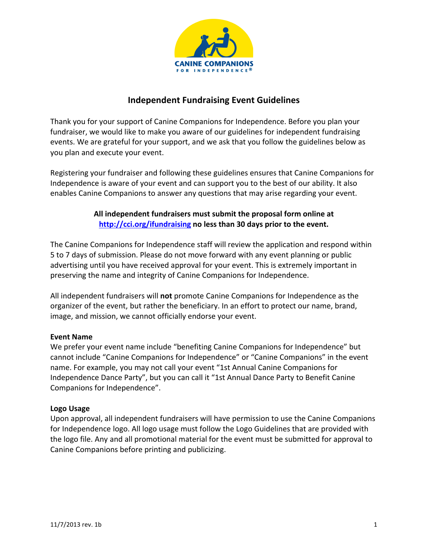

# **Independent Fundraising Event Guidelines**

Thank you for your support of Canine Companions for Independence. Before you plan your fundraiser, we would like to make you aware of our guidelines for independent fundraising events. We are grateful for your support, and we ask that you follow the guidelines below as you plan and execute your event.

Registering your fundraiser and following these guidelines ensures that Canine Companions for Independence is aware of your event and can support you to the best of our ability. It also enables Canine Companions to answer any questions that may arise regarding your event.

# All independent fundraisers must submit the proposal form online at **<http://cci.org/ifundraising> no less than 30 days prior to the event.**

The Canine Companions for Independence staff will review the application and respond within 5 to 7 days of submission. Please do not move forward with any event planning or public advertising until you have received approval for your event. This is extremely important in preserving the name and integrity of Canine Companions for Independence.

All independent fundraisers will not promote Canine Companions for Independence as the organizer of the event, but rather the beneficiary. In an effort to protect our name, brand, image, and mission, we cannot officially endorse your event.

#### **Event Name**

We prefer your event name include "benefiting Canine Companions for Independence" but cannot include "Canine Companions for Independence" or "Canine Companions" in the event name. For example, you may not call your event "1st Annual Canine Companions for Independence Dance Party", but you can call it "1st Annual Dance Party to Benefit Canine Companions for Independence".

#### **Logo Usage**

Upon approval, all independent fundraisers will have permission to use the Canine Companions for Independence logo. All logo usage must follow the Logo Guidelines that are provided with the logo file. Any and all promotional material for the event must be submitted for approval to Canine Companions before printing and publicizing.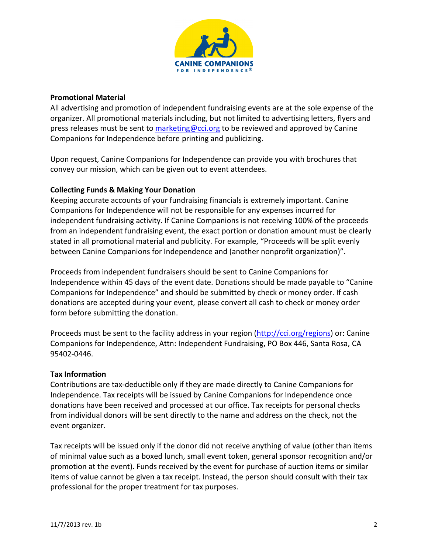

#### **Promotional Material**

All advertising and promotion of independent fundraising events are at the sole expense of the organizer. All promotional materials including, but not limited to advertising letters, flyers and press releases must be sent to marketing @cci.org to be reviewed and approved by Canine Companions for Independence before printing and publicizing.

Upon request, Canine Companions for Independence can provide you with brochures that convey our mission, which can be given out to event attendees.

#### **Collecting Funds & Making Your Donation**

Keeping accurate accounts of your fundraising financials is extremely important. Canine Companions for Independence will not be responsible for any expenses incurred for independent fundraising activity. If Canine Companions is not receiving 100% of the proceeds from an independent fundraising event, the exact portion or donation amount must be clearly stated in all promotional material and publicity. For example, "Proceeds will be split evenly between Canine Companions for Independence and (another nonprofit organization)".

Proceeds from independent fundraisers should be sent to Canine Companions for Independence within 45 days of the event date. Donations should be made payable to "Canine" Companions for Independence" and should be submitted by check or money order. If cash donations are accepted during your event, please convert all cash to check or money order form before submitting the donation.

Companions for Independence, Attn: Independent Fundraising, PO Box 446, Santa Rosa, CA Proceeds must be sent to the facility address in your region ([http://cci.org/region](http://cci.org/regions)[s](http://cci.org/regions)	
)) or: Canine 95402-0446.

#### **Tax Information**

Contributions are tax-deductible only if they are made directly to Canine Companions for Independence. Tax receipts will be issued by Canine Companions for Independence once donations have been received and processed at our office. Tax receipts for personal checks from individual donors will be sent directly to the name and address on the check, not the event organizer.

Tax receipts will be issued only if the donor did not receive anything of value (other than items of minimal value such as a boxed lunch, small event token, general sponsor recognition and/or promotion at the event). Funds received by the event for purchase of auction items or similar items of value cannot be given a tax receipt. Instead, the person should consult with their tax professional for the proper treatment for tax purposes.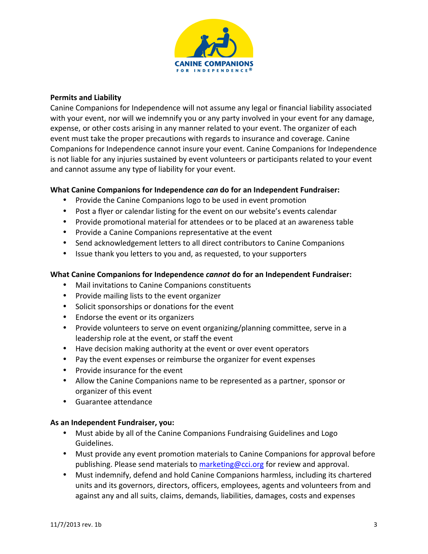

### **Permits and Liability**

Canine Companions for Independence will not assume any legal or financial liability associated with your event, nor will we indemnify you or any party involved in your event for any damage, expense, or other costs arising in any manner related to your event. The organizer of each event must take the proper precautions with regards to insurance and coverage. Canine Companions for Independence cannot insure your event. Canine Companions for Independence is not liable for any injuries sustained by event volunteers or participants related to your event and cannot assume any type of liability for your event.

## **What Canine Companions for Independence** *can* **do for an Independent Fundraiser:**

- Provide the Canine Companions logo to be used in event promotion
- Post a flyer or calendar listing for the event on our website's events calendar
- Provide promotional material for attendees or to be placed at an awareness table
- Provide a Canine Companions representative at the event
- Send acknowledgement letters to all direct contributors to Canine Companions
- Issue thank you letters to you and, as requested, to your supporters

#### **What Canine Companions for Independence** *cannot* **do for an Independent Fundraiser:**

- Mail invitations to Canine Companions constituents
- Provide mailing lists to the event organizer
- Solicit sponsorships or donations for the event
- Endorse the event or its organizers
- Provide volunteers to serve on event organizing/planning committee, serve in a leadership role at the event, or staff the event
- Have decision making authority at the event or over event operators
- Pay the event expenses or reimburse the organizer for event expenses
- Provide insurance for the event
- Allow the Canine Companions name to be represented as a partner, sponsor or organizer of this event
- Guarantee attendance

#### As an Independent Fundraiser, you:

- Must abide by all of the Canine Companions Fundraising Guidelines and Logo Guidelines.
- Must provide any event promotion materials to Canine Companions for approval before publishing. Please send materials to <marketing@cci.org> for review and approval.
- Must indemnify, defend and hold Canine Companions harmless, including its chartered units and its governors, directors, officers, employees, agents and volunteers from and against any and all suits, claims, demands, liabilities, damages, costs and expenses